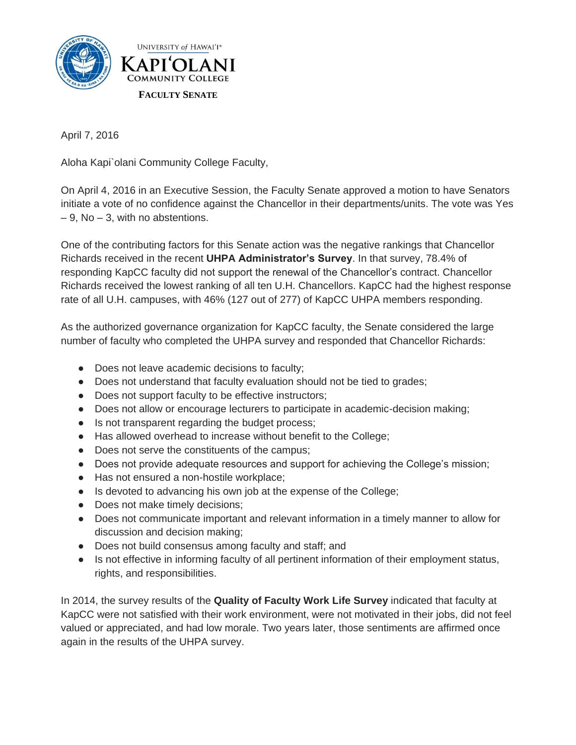

April 7, 2016

Aloha Kapi`olani Community College Faculty,

On April 4, 2016 in an Executive Session, the Faculty Senate approved a motion to have Senators initiate a vote of no confidence against the Chancellor in their departments/units. The vote was Yes  $-9$ , No  $-3$ , with no abstentions.

One of the contributing factors for this Senate action was the negative rankings that Chancellor Richards received in the recent **UHPA Administrator's Survey**. In that survey, 78.4% of responding KapCC faculty did not support the renewal of the Chancellor's contract. Chancellor Richards received the lowest ranking of all ten U.H. Chancellors. KapCC had the highest response rate of all U.H. campuses, with 46% (127 out of 277) of KapCC UHPA members responding.

As the authorized governance organization for KapCC faculty, the Senate considered the large number of faculty who completed the UHPA survey and responded that Chancellor Richards:

- Does not leave academic decisions to faculty;
- Does not understand that faculty evaluation should not be tied to grades;
- Does not support faculty to be effective instructors;
- Does not allow or encourage lecturers to participate in academic-decision making;
- Is not transparent regarding the budget process;
- Has allowed overhead to increase without benefit to the College;
- Does not serve the constituents of the campus;
- Does not provide adequate resources and support for achieving the College's mission;
- Has not ensured a non-hostile workplace;
- Is devoted to advancing his own job at the expense of the College;
- Does not make timely decisions;
- Does not communicate important and relevant information in a timely manner to allow for discussion and decision making;
- Does not build consensus among faculty and staff; and
- Is not effective in informing faculty of all pertinent information of their employment status, rights, and responsibilities.

In 2014, the survey results of the **Quality of Faculty Work Life Survey** indicated that faculty at KapCC were not satisfied with their work environment, were not motivated in their jobs, did not feel valued or appreciated, and had low morale. Two years later, those sentiments are affirmed once again in the results of the UHPA survey.